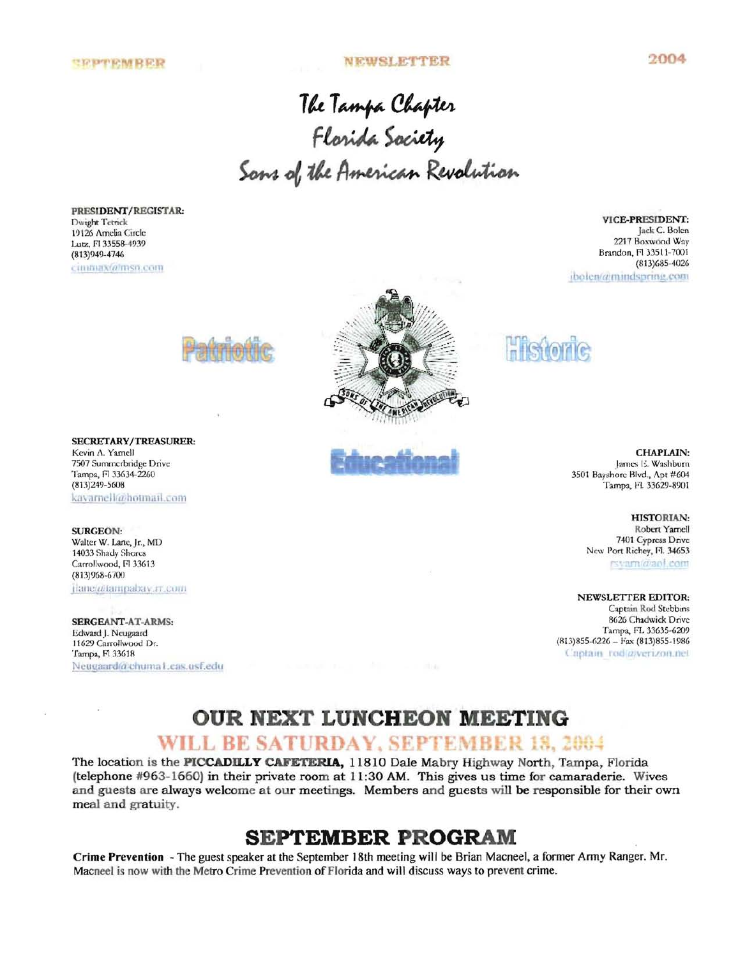The Tampa Chapter xe <sub>T</sub>ampa Caapu<br>Florida Society Sons of the American Revolution

PRESIDENT/REGISTAR: Dwight Tetrick 19126 Amelia Circle Lutz. PI 33558-4939 (813)949-4746 cininax@msn.com

VICE-PRESIDENT: Jack c. Bolen 2217 Boxwood Way Brandon, PI 33511-7001 (R13)685-4026 ibolen/*a*/mindspring.com



SECRETARY/TREASURER: 7507 Summerbridge Drive . [4004] James E. Washburn . [4004] James E. Washburn . [4004] James E. Washburn . [40<br>Tampa, Fil 33634-2260 . [4604] Apple . [4704] James E. Washburn . [4704] James E. Washburn . [4704] James E. W Tampa, Fi 33634-2260 3501 Bayshore Blvd., Apt #604 3501 Bayshore Blvd., Apt #604 3501 3501 3501 3501 3501 350<br>(813)249-5608 Tampa, Fi 33629-8901 kavarnell@hotmail.com

SURGEON: Robert Yarnell 14033 Shady Shores Walter W. Lane, Jr., MD  $Carrolwood$ , F1 33613  $Carrolwood$ , F1 33613 (813)968-6700 jlanc@tampabay.rr.com

**SERGEANT-AT-ARMS:**<br>Edward J. Neugaard Edward J. Neugaard Tampa, FL 33635-6209<br>
11629 Carrollwood Dr. (813)855-6226 – Fax (813)855-1986  $T$ ampa, Fl 33618  $\qquad \qquad \qquad$   $\qquad \qquad$   $\qquad \qquad$   $T$ Neugaard@chuma1.cas.usf.edu





Tampa, Fl. 33629-8901

HISTORIAN: 7401 Cypress Drive New Port Richey, FI. 34653

NEWSLETfER EDITOR: Captain Rod Stebbins<br>8626 Chadwick Drive  $(813)855-6226 - \text{Fix} (813)855-1986$ 

# **OUR NEXT LUNCHEON MEETING**

#### WILL BE SATURDAY, SEPTEMBER 18, 2004

The location is the **PlCCADD.LY CAFETERIA,** 11810 Dale Mabry Highway North, Tampa, Florida (telephone #963-1660) in their private room at 11:30 AM. This gives us time for camaraderie. Wives and guests are always welcome at our meetings. Members and guests will be responsible for their own meal and gratuity.

#### **SEPTEMBER PROGRAM**

Crime Prevention - The guest speaker at the September 18th meeting will be Brian Macneel, a former Army Ranger. Mr. Macneel is now with the Metro Crime Prevention ofFlorida and will discuss ways to prevent crime.

2004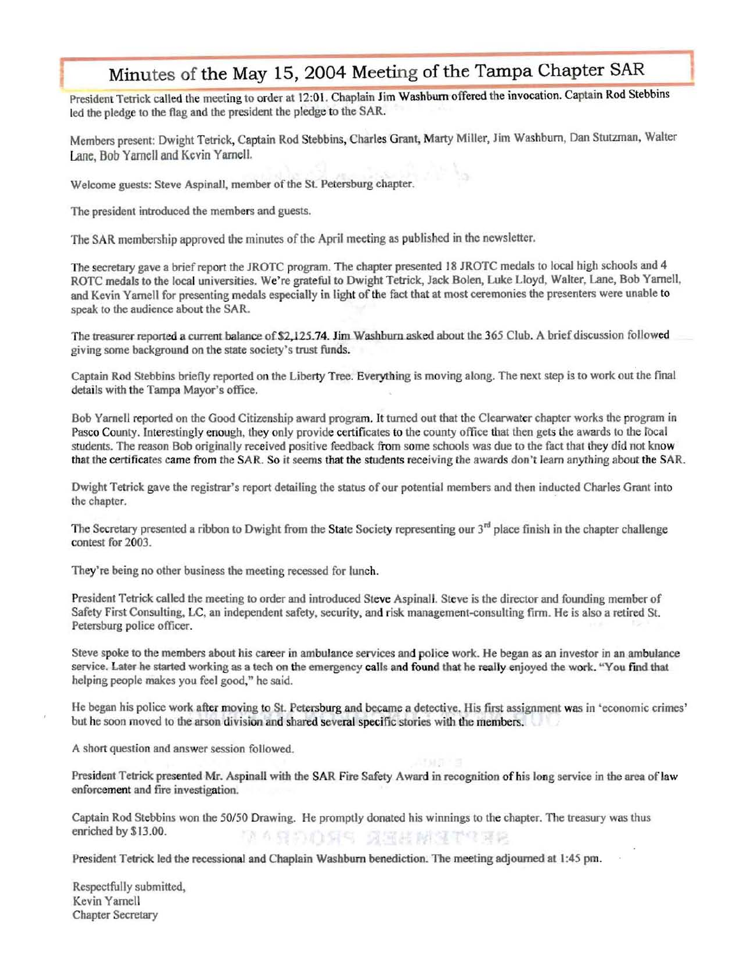### Minutes of the May 15, 2004 Meeting of the Tampa Chapter SAR

President Tetrick called the meeting to order at 12:01. Chaplain jim Washburn offered the invocation. Captain Rod Stebbins led the pledge to the flag and the president the pledge to the SAR.

Members present: Dwight Tetrick, Captain Rod Stebbins, Charles Grant, Marty Miller, Jim Washburn, Dan Stutzman, Walter Lane, Bob Yarnell and Kevin Yarnell.

Welcome guests: Steve Aspinall, member of the St. Petersburg chapter.

The president introduced the members and guests.

The SAR membership approved the minutes of the April meeting as published in the newsletter.

The secretary gave a brief report the JROTC program. The chapter presented 18 JROTC medals to local high schools and 4 ROTC medals to the local universities. We're grateful to Dwight Tetrick, Jack Bolen, Luke Lloyd, Walter, Lane, Bob Yarnell, and Kevin Yarnell for presenting medals especially in light of the fact that at most ceremonies the presenters were unable to speak to the audience about the SAR.

The treasurer reported a current balance of \$2,125.74. Jim Washburn asked about the 365 Club. A brief discussion followed giving some background on the state society's trust funds.

Captain Rod Stebbins briefly reported on the Liberty Tree. Everything is moving along. The next step is to work out the final details with the Tampa Mayor's office.

Bob Yarnell reported on the Good Citizenship award program. It turned out that the Clearwater chapter works the program in Pasco County. Interestingly enough, they only provide certificates to the county office that then gets the awards to the local students. The reason Bob originally received positive feedback from some schools was due to the fact that they did not know that the certificates came from the SAR. So it seems that the students receiving the awards don't learn anything about the SAR.

Dwight Tetrick gave the registrar's report detailing the status of our potential members and then inducted Charles Grant into the chapter. .

The Secretary presented a ribbon to Dwight from the State Society representing our  $3<sup>rd</sup>$  place finish in the chapter challenge contest for 2003.

They're being no other business the meeting recessed for lunch.

President Tetrick called the meeting to order and introduced Steve Aspinall. Steve is the director and founding member of Safety First Consulting. LC, an independent safety, security, and risk management-consulting firm. He is also a retired St. Petersburg police officer.

Steve spoke to the members about his career in ambulance services and police work. He began as an investor in an ambulance service. Later he started working as a tech on the emergency calls and found that he really enjoyed the work. "You find that helping people makes you feel good," he said.

He began his police work after moving to St. Petersburg and became a detective. His first assignment was in 'economic crimes' but he soon moved to the arson division and shared several specific stories with the members.

A short question and answer session followed.

President Tetrick presented Mr. Aspinall with the SAR Fire Safety Award in recognition of his long service in the area of law enforcement and fire investigation.

captain Rod Stebbins won the SO/SO Drawing. He promptly donated his winnings to the chapter. The treasury was thus enriched by \$13.00. 医白色 医冠状内皮下区医院

President Tetrick led the recessional and Chaplain Wasbburn benediction. The meeting adjourned at 1:45 pm.

Respectfully submitted, Kevin Yarnell Chapter Secretary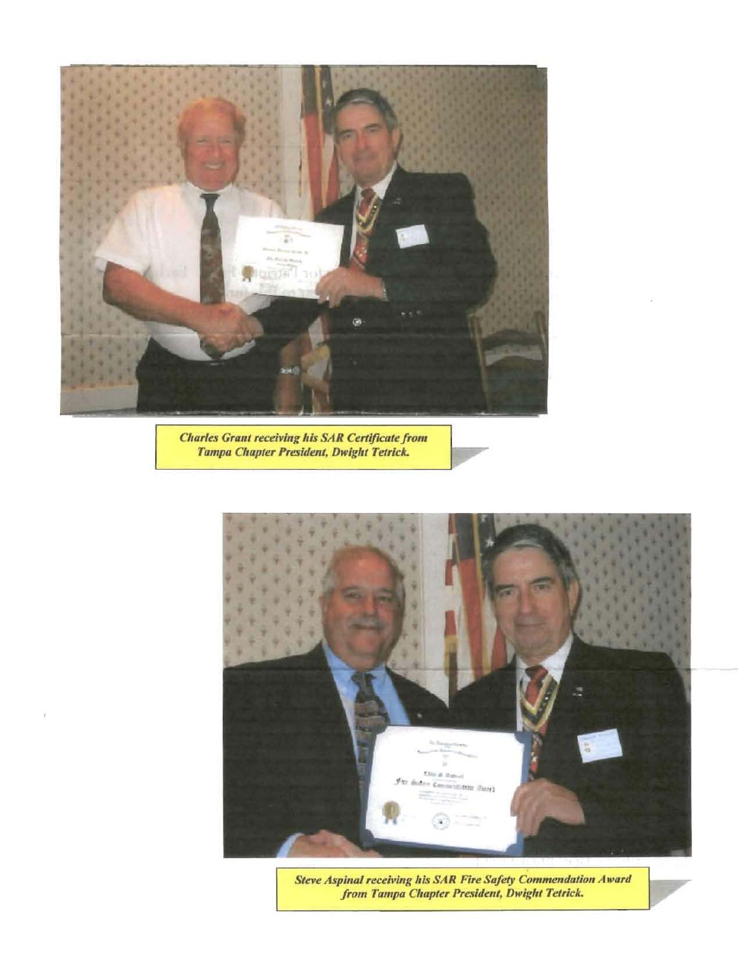

**Charles Grant receiving his SAR Certificate from** Tampa Chapter President, Dwight Tetrick.



Steve Aspinal receiving his SAR Fire Safety Commendation Award<br>from Tampa Chapter President, Dwight Tetrick.